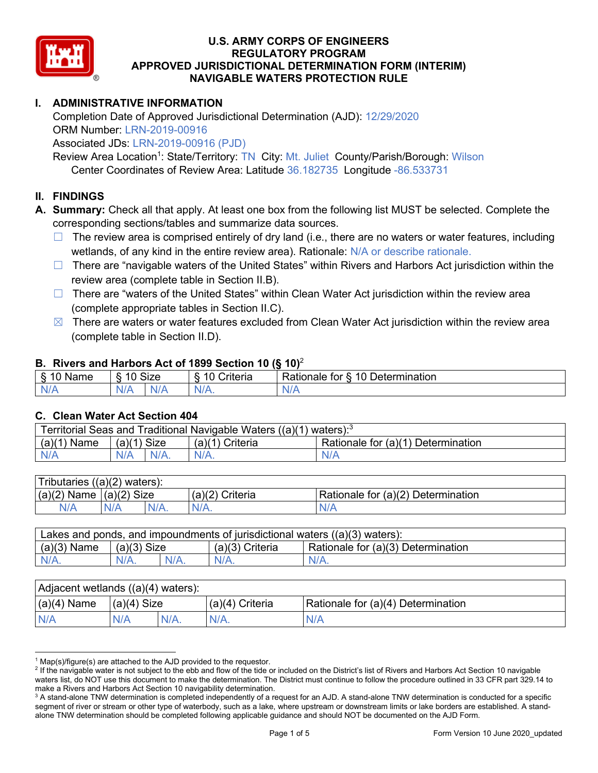

## **I. ADMINISTRATIVE INFORMATION**

Completion Date of Approved Jurisdictional Determination (AJD): 12/29/2020 ORM Number: LRN-2019-00916

Associated JDs: LRN-2019-00916 (PJD)

Review Area Location<sup>1</sup>: State/Territory: TN City: Mt. Juliet County/Parish/Borough: Wilson Center Coordinates of Review Area: Latitude 36.182735 Longitude -86.533731

#### **II. FINDINGS**

**A. Summary:** Check all that apply. At least one box from the following list MUST be selected. Complete the corresponding sections/tables and summarize data sources.

- $\Box$  The review area is comprised entirely of dry land (i.e., there are no waters or water features, including wetlands, of any kind in the entire review area). Rationale: N/A or describe rationale.
- $\Box$  There are "navigable waters of the United States" within Rivers and Harbors Act jurisdiction within the review area (complete table in Section II.B).
- $\Box$  There are "waters of the United States" within Clean Water Act jurisdiction within the review area (complete appropriate tables in Section II.C).
- $\boxtimes$  There are waters or water features excluded from Clean Water Act jurisdiction within the review area (complete table in Section II.D).

#### **B. Rivers and Harbors Act of 1899 Section 10 (§ 10)**<sup>2</sup>

| $\cdot$                                   |                |             |                                            |                                                   |  |  |  |  |
|-------------------------------------------|----------------|-------------|--------------------------------------------|---------------------------------------------------|--|--|--|--|
| δ.<br>$\overline{10}$<br>Name<br>٠J<br>-- | 10<br>c<br>. . | <b>Size</b> | $\sim$<br>- -<br>;riteria<br>$\sim$<br>. . | -<br>10<br>-<br>Determination<br>Rationale<br>tor |  |  |  |  |
| N/f                                       | N/r            |             | NI<br>.                                    | . .<br>V/I                                        |  |  |  |  |

#### **C. Clean Water Act Section 404**

| Territorial Seas and Traditional Navigable Waters $((a)(1)$ waters): <sup>3</sup> |                |                 |                                    |  |  |  |
|-----------------------------------------------------------------------------------|----------------|-----------------|------------------------------------|--|--|--|
| $(a)(1)$ Name                                                                     | $(a)(1)$ Size  | (a)(1) Criteria | Rationale for (a)(1) Determination |  |  |  |
| N/A                                                                               | $N/A$ .<br>N/A | $N/A$ .         | N/A                                |  |  |  |

| Tributaries $((a)(2)$ waters): |               |         |                   |                                    |  |  |
|--------------------------------|---------------|---------|-------------------|------------------------------------|--|--|
| $(a)(2)$ Name                  | $(a)(2)$ Size |         | $(a)(2)$ Criteria | Rationale for (a)(2) Determination |  |  |
| N/A                            | N/A           | $N/A$ . |                   |                                    |  |  |
|                                |               |         |                   |                                    |  |  |

|                                                     | Lakes and ponds, and impoundments of jurisdictional waters $((a)(3)$ waters): |  |  |  |  |  |  |
|-----------------------------------------------------|-------------------------------------------------------------------------------|--|--|--|--|--|--|
| $(a)(3)$ Name<br>$(a)(3)$ Criteria<br>$(a)(3)$ Size | Rationale for (a)(3) Determination                                            |  |  |  |  |  |  |
| $N/A$ .<br>$N/A$ .<br>$N/A$ .                       |                                                                               |  |  |  |  |  |  |

| Adjacent wetlands ((a)(4) waters): |                |  |                   |                                    |  |  |
|------------------------------------|----------------|--|-------------------|------------------------------------|--|--|
| $(a)(4)$ Name                      | $ (a)(4)$ Size |  | $(a)(4)$ Criteria | Rationale for (a)(4) Determination |  |  |
| N/A                                | N/A            |  |                   | N/A                                |  |  |

 $1$  Map(s)/figure(s) are attached to the AJD provided to the requestor.

<sup>&</sup>lt;sup>2</sup> If the navigable water is not subject to the ebb and flow of the tide or included on the District's list of Rivers and Harbors Act Section 10 navigable waters list, do NOT use this document to make the determination. The District must continue to follow the procedure outlined in 33 CFR part 329.14 to make a Rivers and Harbors Act Section 10 navigability determination.

<sup>&</sup>lt;sup>3</sup> A stand-alone TNW determination is completed independently of a request for an AJD. A stand-alone TNW determination is conducted for a specific segment of river or stream or other type of waterbody, such as a lake, where upstream or downstream limits or lake borders are established. A standalone TNW determination should be completed following applicable guidance and should NOT be documented on the AJD Form.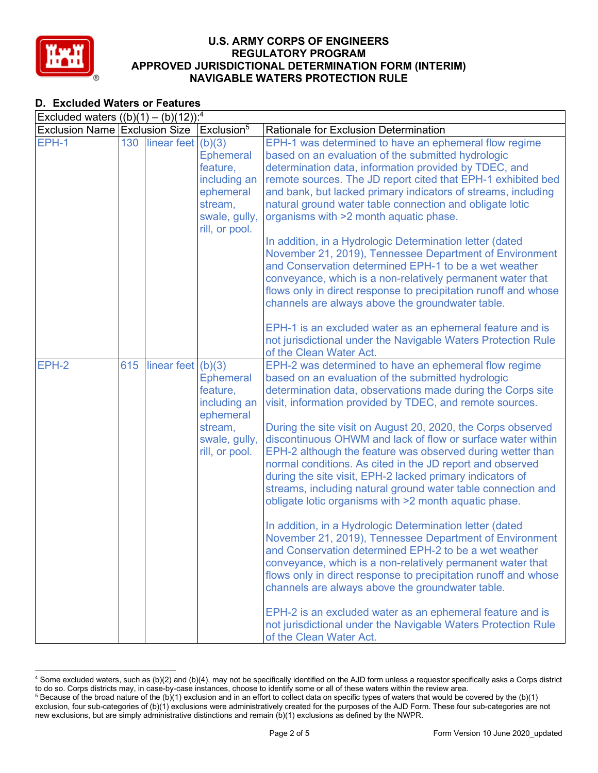

## **D. Excluded Waters or Features**

| Excluded waters $((b)(1) - (b)(12))$ : <sup>4</sup> |     |                      |                                                                                                         |                                                                                                                                                                                                                                                                                                                                                                                                                                                                                                                                                                                                                                                                                                                                                                                                                                                                                                                                                                                                                                                                                                                                                                                                                      |
|-----------------------------------------------------|-----|----------------------|---------------------------------------------------------------------------------------------------------|----------------------------------------------------------------------------------------------------------------------------------------------------------------------------------------------------------------------------------------------------------------------------------------------------------------------------------------------------------------------------------------------------------------------------------------------------------------------------------------------------------------------------------------------------------------------------------------------------------------------------------------------------------------------------------------------------------------------------------------------------------------------------------------------------------------------------------------------------------------------------------------------------------------------------------------------------------------------------------------------------------------------------------------------------------------------------------------------------------------------------------------------------------------------------------------------------------------------|
| Exclusion Name Exclusion Size                       |     |                      | Exclusion <sup>5</sup>                                                                                  | Rationale for Exclusion Determination                                                                                                                                                                                                                                                                                                                                                                                                                                                                                                                                                                                                                                                                                                                                                                                                                                                                                                                                                                                                                                                                                                                                                                                |
| EPH-1                                               | 130 | linear feet $(b)(3)$ | <b>Ephemeral</b><br>feature,<br>including an<br>ephemeral<br>stream,<br>swale, gully,<br>rill, or pool. | EPH-1 was determined to have an ephemeral flow regime<br>based on an evaluation of the submitted hydrologic<br>determination data, information provided by TDEC, and<br>remote sources. The JD report cited that EPH-1 exhibited bed<br>and bank, but lacked primary indicators of streams, including<br>natural ground water table connection and obligate lotic<br>organisms with >2 month aquatic phase.                                                                                                                                                                                                                                                                                                                                                                                                                                                                                                                                                                                                                                                                                                                                                                                                          |
|                                                     |     |                      |                                                                                                         | In addition, in a Hydrologic Determination letter (dated<br>November 21, 2019), Tennessee Department of Environment<br>and Conservation determined EPH-1 to be a wet weather<br>conveyance, which is a non-relatively permanent water that<br>flows only in direct response to precipitation runoff and whose<br>channels are always above the groundwater table.                                                                                                                                                                                                                                                                                                                                                                                                                                                                                                                                                                                                                                                                                                                                                                                                                                                    |
|                                                     |     |                      |                                                                                                         | EPH-1 is an excluded water as an ephemeral feature and is<br>not jurisdictional under the Navigable Waters Protection Rule<br>of the Clean Water Act.                                                                                                                                                                                                                                                                                                                                                                                                                                                                                                                                                                                                                                                                                                                                                                                                                                                                                                                                                                                                                                                                |
| EPH-2                                               | 615 | linear feet $(b)(3)$ | <b>Ephemeral</b><br>feature,<br>including an<br>ephemeral<br>stream,<br>swale, gully,<br>rill, or pool. | EPH-2 was determined to have an ephemeral flow regime<br>based on an evaluation of the submitted hydrologic<br>determination data, observations made during the Corps site<br>visit, information provided by TDEC, and remote sources.<br>During the site visit on August 20, 2020, the Corps observed<br>discontinuous OHWM and lack of flow or surface water within<br>EPH-2 although the feature was observed during wetter than<br>normal conditions. As cited in the JD report and observed<br>during the site visit, EPH-2 lacked primary indicators of<br>streams, including natural ground water table connection and<br>obligate lotic organisms with >2 month aquatic phase.<br>In addition, in a Hydrologic Determination letter (dated<br>November 21, 2019), Tennessee Department of Environment<br>and Conservation determined EPH-2 to be a wet weather<br>conveyance, which is a non-relatively permanent water that<br>flows only in direct response to precipitation runoff and whose<br>channels are always above the groundwater table.<br>EPH-2 is an excluded water as an ephemeral feature and is<br>not jurisdictional under the Navigable Waters Protection Rule<br>of the Clean Water Act. |

<sup>4</sup> Some excluded waters, such as (b)(2) and (b)(4), may not be specifically identified on the AJD form unless a requestor specifically asks a Corps district to do so. Corps districts may, in case-by-case instances, choose to identify some or all of these waters within the review area.

 $5$  Because of the broad nature of the (b)(1) exclusion and in an effort to collect data on specific types of waters that would be covered by the (b)(1) exclusion, four sub-categories of (b)(1) exclusions were administratively created for the purposes of the AJD Form. These four sub-categories are not new exclusions, but are simply administrative distinctions and remain (b)(1) exclusions as defined by the NWPR.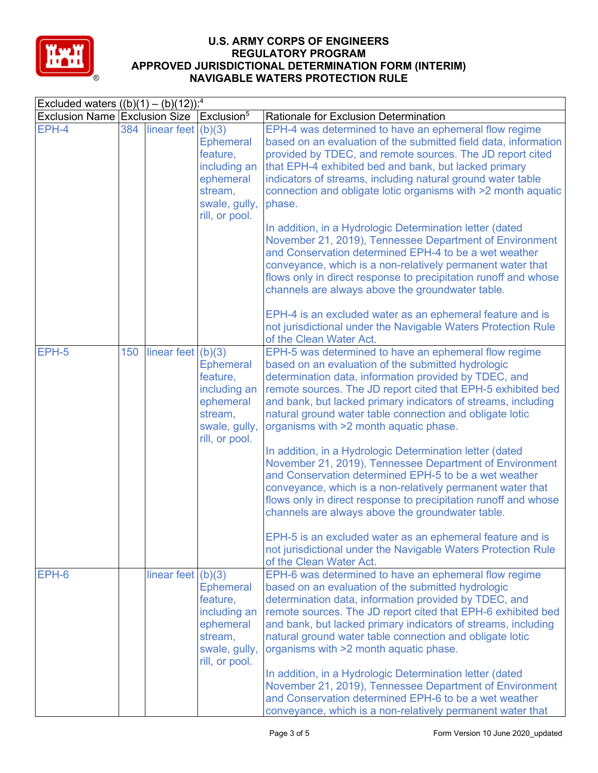

|                                                     |     |                        |                                                                                                         | NAVIOADLE WATERS FROTEGIJON RULE                                                                                                                                                                                                                                                                                                                                                                                                                                                                                                                                                                                                                                                                                                                                                                                                                                                                                                          |
|-----------------------------------------------------|-----|------------------------|---------------------------------------------------------------------------------------------------------|-------------------------------------------------------------------------------------------------------------------------------------------------------------------------------------------------------------------------------------------------------------------------------------------------------------------------------------------------------------------------------------------------------------------------------------------------------------------------------------------------------------------------------------------------------------------------------------------------------------------------------------------------------------------------------------------------------------------------------------------------------------------------------------------------------------------------------------------------------------------------------------------------------------------------------------------|
| Excluded waters $((b)(1) - (b)(12))$ : <sup>4</sup> |     |                        |                                                                                                         |                                                                                                                                                                                                                                                                                                                                                                                                                                                                                                                                                                                                                                                                                                                                                                                                                                                                                                                                           |
| Exclusion Name Exclusion Size                       |     |                        | Exclusion <sup>5</sup>                                                                                  | Rationale for Exclusion Determination                                                                                                                                                                                                                                                                                                                                                                                                                                                                                                                                                                                                                                                                                                                                                                                                                                                                                                     |
| EPH-4                                               |     | 384 linear feet (b)(3) | <b>Ephemeral</b><br>feature,<br>including an<br>ephemeral<br>stream,<br>swale, gully,<br>rill, or pool. | EPH-4 was determined to have an ephemeral flow regime<br>based on an evaluation of the submitted field data, information<br>provided by TDEC, and remote sources. The JD report cited<br>that EPH-4 exhibited bed and bank, but lacked primary<br>indicators of streams, including natural ground water table<br>connection and obligate lotic organisms with >2 month aquatic<br>phase.                                                                                                                                                                                                                                                                                                                                                                                                                                                                                                                                                  |
|                                                     |     |                        |                                                                                                         | In addition, in a Hydrologic Determination letter (dated<br>November 21, 2019), Tennessee Department of Environment<br>and Conservation determined EPH-4 to be a wet weather<br>conveyance, which is a non-relatively permanent water that<br>flows only in direct response to precipitation runoff and whose<br>channels are always above the groundwater table.                                                                                                                                                                                                                                                                                                                                                                                                                                                                                                                                                                         |
|                                                     |     |                        |                                                                                                         | EPH-4 is an excluded water as an ephemeral feature and is<br>not jurisdictional under the Navigable Waters Protection Rule<br>of the Clean Water Act.                                                                                                                                                                                                                                                                                                                                                                                                                                                                                                                                                                                                                                                                                                                                                                                     |
| EPH-5                                               | 150 | linear feet $(b)(3)$   | <b>Ephemeral</b><br>feature,<br>including an<br>ephemeral<br>stream,<br>swale, gully,<br>rill, or pool. | EPH-5 was determined to have an ephemeral flow regime<br>based on an evaluation of the submitted hydrologic<br>determination data, information provided by TDEC, and<br>remote sources. The JD report cited that EPH-5 exhibited bed<br>and bank, but lacked primary indicators of streams, including<br>natural ground water table connection and obligate lotic<br>organisms with >2 month aquatic phase.<br>In addition, in a Hydrologic Determination letter (dated<br>November 21, 2019), Tennessee Department of Environment<br>and Conservation determined EPH-5 to be a wet weather<br>conveyance, which is a non-relatively permanent water that<br>flows only in direct response to precipitation runoff and whose<br>channels are always above the groundwater table.<br>EPH-5 is an excluded water as an ephemeral feature and is<br>not jurisdictional under the Navigable Waters Protection Rule<br>of the Clean Water Act. |
| EPH-6                                               |     | linear feet $(b)(3)$   | <b>Ephemeral</b><br>feature,<br>including an<br>ephemeral<br>stream,<br>swale, gully,<br>rill, or pool. | EPH-6 was determined to have an ephemeral flow regime<br>based on an evaluation of the submitted hydrologic<br>determination data, information provided by TDEC, and<br>remote sources. The JD report cited that EPH-6 exhibited bed<br>and bank, but lacked primary indicators of streams, including<br>natural ground water table connection and obligate lotic<br>organisms with >2 month aquatic phase.<br>In addition, in a Hydrologic Determination letter (dated<br>November 21, 2019), Tennessee Department of Environment<br>and Conservation determined EPH-6 to be a wet weather<br>conveyance, which is a non-relatively permanent water that                                                                                                                                                                                                                                                                                 |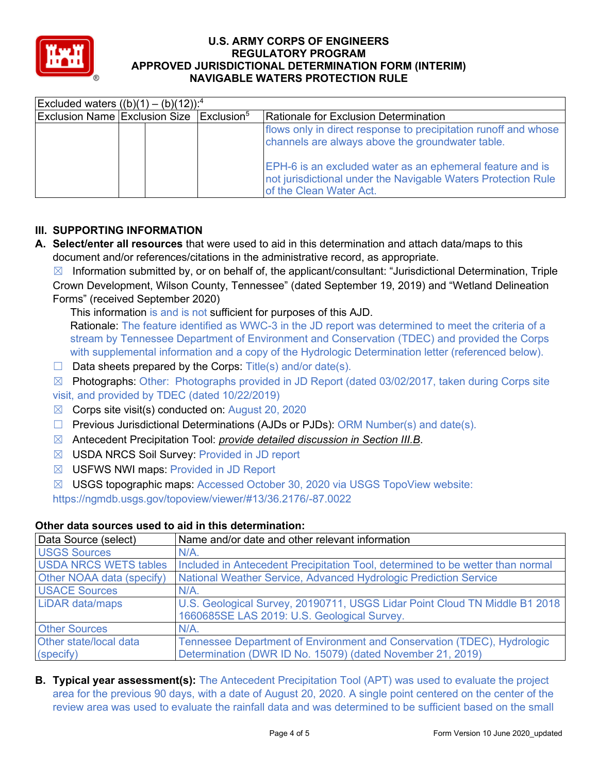

| NAVIGABLE WATERS FRUTEGIJON RULE |                                                     |                        |                                                                                                                                                                                                                                                                              |  |  |  |
|----------------------------------|-----------------------------------------------------|------------------------|------------------------------------------------------------------------------------------------------------------------------------------------------------------------------------------------------------------------------------------------------------------------------|--|--|--|
|                                  | Excluded waters $((b)(1) - (b)(12))$ : <sup>4</sup> |                        |                                                                                                                                                                                                                                                                              |  |  |  |
| Exclusion Name Exclusion Size    |                                                     | $\mathsf{Exclusion}^5$ | Rationale for Exclusion Determination                                                                                                                                                                                                                                        |  |  |  |
|                                  |                                                     |                        | flows only in direct response to precipitation runoff and whose<br>channels are always above the groundwater table.<br>EPH-6 is an excluded water as an ephemeral feature and is<br>not jurisdictional under the Navigable Waters Protection Rule<br>of the Clean Water Act. |  |  |  |

# **III. SUPPORTING INFORMATION**

**A. Select/enter all resources** that were used to aid in this determination and attach data/maps to this document and/or references/citations in the administrative record, as appropriate.

 $\boxtimes$  Information submitted by, or on behalf of, the applicant/consultant: "Jurisdictional Determination, Triple Crown Development, Wilson County, Tennessee" (dated September 19, 2019) and "Wetland Delineation Forms" (received September 2020)

This information is and is not sufficient for purposes of this AJD.

Rationale: The feature identified as WWC-3 in the JD report was determined to meet the criteria of a stream by Tennessee Department of Environment and Conservation (TDEC) and provided the Corps with supplemental information and a copy of the Hydrologic Determination letter (referenced below).

 $\Box$  Data sheets prepared by the Corps: Title(s) and/or date(s).

☒ Photographs: Other: Photographs provided in JD Report (dated 03/02/2017, taken during Corps site visit, and provided by TDEC (dated 10/22/2019)

- $\boxtimes$  Corps site visit(s) conducted on: August 20, 2020
- ☐ Previous Jurisdictional Determinations (AJDs or PJDs): ORM Number(s) and date(s).
- ☒ Antecedent Precipitation Tool: *provide detailed discussion in Section III.B*.
- ☒ USDA NRCS Soil Survey: Provided in JD report
- ☒ USFWS NWI maps: Provided in JD Report
- ☒ USGS topographic maps: Accessed October 30, 2020 via USGS TopoView website:

https://ngmdb.usgs.gov/topoview/viewer/#13/36.2176/-87.0022

## **Other data sources used to aid in this determination:**

| Data Source (select)         | Name and/or date and other relevant information                                                                           |
|------------------------------|---------------------------------------------------------------------------------------------------------------------------|
| <b>USGS Sources</b>          | $N/A$ .                                                                                                                   |
| <b>USDA NRCS WETS tables</b> | Included in Antecedent Precipitation Tool, determined to be wetter than normal                                            |
| Other NOAA data (specify)    | National Weather Service, Advanced Hydrologic Prediction Service                                                          |
| <b>USACE Sources</b>         | $N/A$ .                                                                                                                   |
| <b>LiDAR data/maps</b>       | U.S. Geological Survey, 20190711, USGS Lidar Point Cloud TN Middle B1 2018<br>1660685SE LAS 2019: U.S. Geological Survey. |
| <b>Other Sources</b>         | $N/A$ .                                                                                                                   |
| Other state/local data       | Tennessee Department of Environment and Conservation (TDEC), Hydrologic                                                   |
| (specify)                    | Determination (DWR ID No. 15079) (dated November 21, 2019)                                                                |

**B. Typical year assessment(s):** The Antecedent Precipitation Tool (APT) was used to evaluate the project area for the previous 90 days, with a date of August 20, 2020. A single point centered on the center of the review area was used to evaluate the rainfall data and was determined to be sufficient based on the small